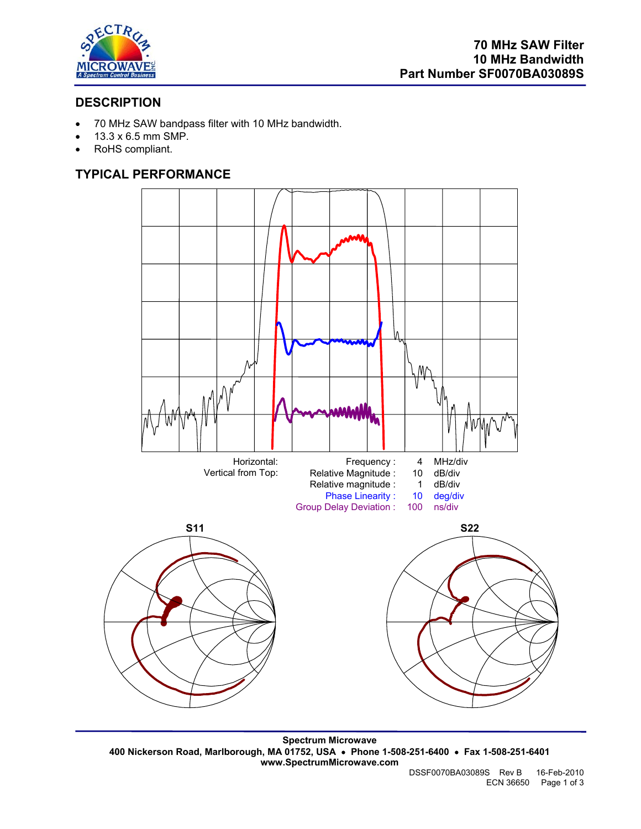

# **DESCRIPTION**

- 70 MHz SAW bandpass filter with 10 MHz bandwidth.
- 13.3 x 6.5 mm SMP.
- RoHS compliant.

# **TYPICAL PERFORMANCE**



**Spectrum Microwave 400 Nickerson Road, Marlborough, MA 01752, USA** • **Phone 1-508-251-6400** • **Fax 1-508-251-6401 www.SpectrumMicrowave.com**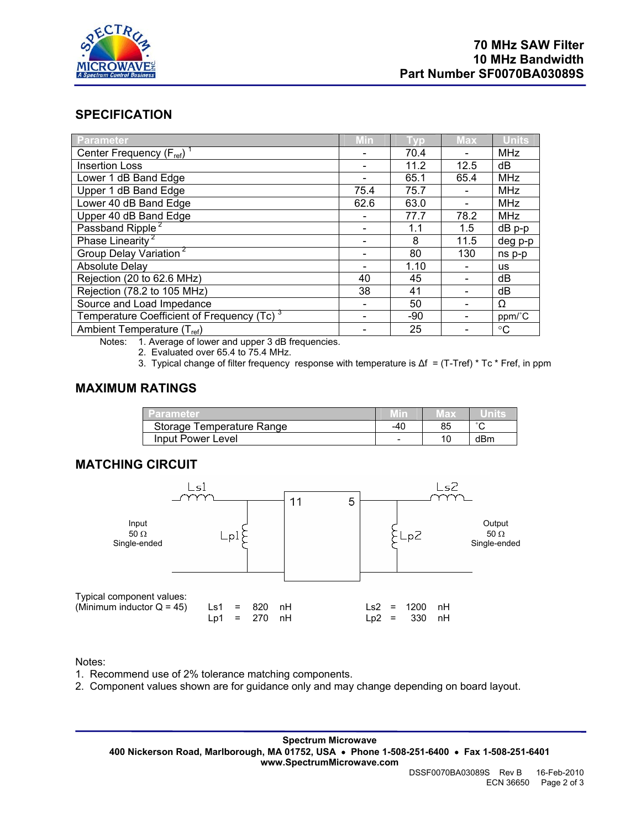

## **SPECIFICATION**

| <b>Parameter</b>                                       | Min  | Гур   | <b>Max</b> | <b>Units</b>    |
|--------------------------------------------------------|------|-------|------------|-----------------|
| Center Frequency $(F_{ref})$ <sup>1</sup>              |      | 70.4  |            | <b>MHz</b>      |
| <b>Insertion Loss</b>                                  |      | 11.2  | 12.5       | dB              |
| Lower 1 dB Band Edge                                   |      | 65.1  | 65.4       | MHz             |
| Upper 1 dB Band Edge                                   | 75.4 | 75.7  |            | <b>MHz</b>      |
| Lower 40 dB Band Edge                                  | 62.6 | 63.0  |            | <b>MHz</b>      |
| Upper 40 dB Band Edge                                  |      | 77.7  | 78.2       | <b>MHz</b>      |
| Passband Ripple <sup>2</sup>                           |      | 1.1   | 1.5        | $dB$ p-p        |
| Phase Linearity <sup>2</sup>                           |      | 8     | 11.5       | deg p-p         |
| Group Delay Variation <sup>2</sup>                     |      | 80    | 130        | ns p-p          |
| <b>Absolute Delay</b>                                  |      | 1.10  |            | <b>us</b>       |
| Rejection (20 to 62.6 MHz)                             | 40   | 45    |            | dB              |
| Rejection (78.2 to 105 MHz)                            | 38   | 41    |            | dB              |
| Source and Load Impedance                              |      | 50    |            | Ω               |
| Temperature Coefficient of Frequency (Tc) <sup>3</sup> |      | $-90$ |            | ppm/°C          |
| Ambient Temperature (T <sub>ref</sub> )                |      | 25    |            | $\rm ^{\circ}C$ |

Notes: 1. Average of lower and upper 3 dB frequencies.

2. Evaluated over 65.4 to 75.4 MHz.

3. Typical change of filter frequency response with temperature is ∆f = (T-Tref) \* Tc \* Fref, in ppm

## **MAXIMUM RATINGS**

| Parameter                 |     |                 |        |
|---------------------------|-----|-----------------|--------|
| Storage Temperature Range | -40 | 85              | $\sim$ |
| Input Power Level         | -   | 10 <sup>1</sup> | dBm    |

## **MATCHING CIRCUIT**



#### Notes:

- 1. Recommend use of 2% tolerance matching components.
- 2. Component values shown are for guidance only and may change depending on board layout.

**Spectrum Microwave 400 Nickerson Road, Marlborough, MA 01752, USA** • **Phone 1-508-251-6400** • **Fax 1-508-251-6401 www.SpectrumMicrowave.com**